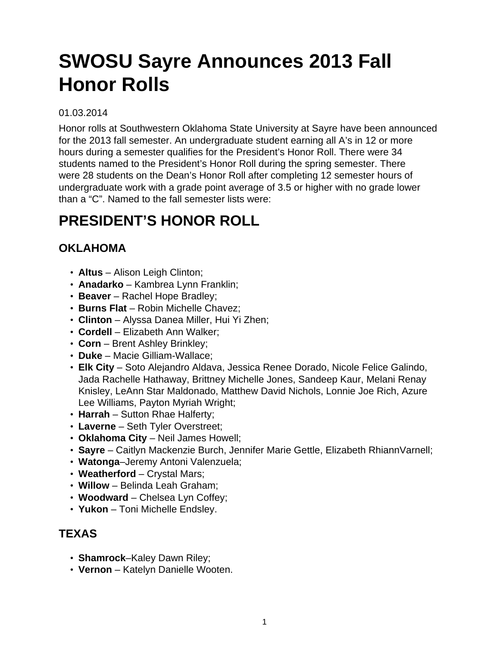# **SWOSU Sayre Announces 2013 Fall Honor Rolls**

#### 01.03.2014

Honor rolls at Southwestern Oklahoma State University at Sayre have been announced for the 2013 fall semester. An undergraduate student earning all A's in 12 or more hours during a semester qualifies for the President's Honor Roll. There were 34 students named to the President's Honor Roll during the spring semester. There were 28 students on the Dean's Honor Roll after completing 12 semester hours of undergraduate work with a grade point average of 3.5 or higher with no grade lower than a "C". Named to the fall semester lists were:

## **PRESIDENT'S HONOR ROLL**

#### **OKLAHOMA**

- **Altus** Alison Leigh Clinton;
- **Anadarko** Kambrea Lynn Franklin;
- **Beaver** Rachel Hope Bradley;
- **Burns Flat** Robin Michelle Chavez;
- **Clinton** Alyssa Danea Miller, Hui Yi Zhen;
- **Cordell** Elizabeth Ann Walker;
- **Corn** Brent Ashley Brinkley;
- **Duke** Macie Gilliam-Wallace;
- **Elk City** Soto Alejandro Aldava, Jessica Renee Dorado, Nicole Felice Galindo, Jada Rachelle Hathaway, Brittney Michelle Jones, Sandeep Kaur, Melani Renay Knisley, LeAnn Star Maldonado, Matthew David Nichols, Lonnie Joe Rich, Azure Lee Williams, Payton Myriah Wright;
- **Harrah** Sutton Rhae Halferty;
- **Laverne** Seth Tyler Overstreet;
- **Oklahoma City** Neil James Howell;
- **Sayre** Caitlyn Mackenzie Burch, Jennifer Marie Gettle, Elizabeth RhiannVarnell;
- **Watonga**–Jeremy Antoni Valenzuela;
- **Weatherford** Crystal Mars;
- **Willow** Belinda Leah Graham;
- **Woodward** Chelsea Lyn Coffey;
- **Yukon** Toni Michelle Endsley.

#### **TEXAS**

- **Shamrock**–Kaley Dawn Riley;
- **Vernon** Katelyn Danielle Wooten.